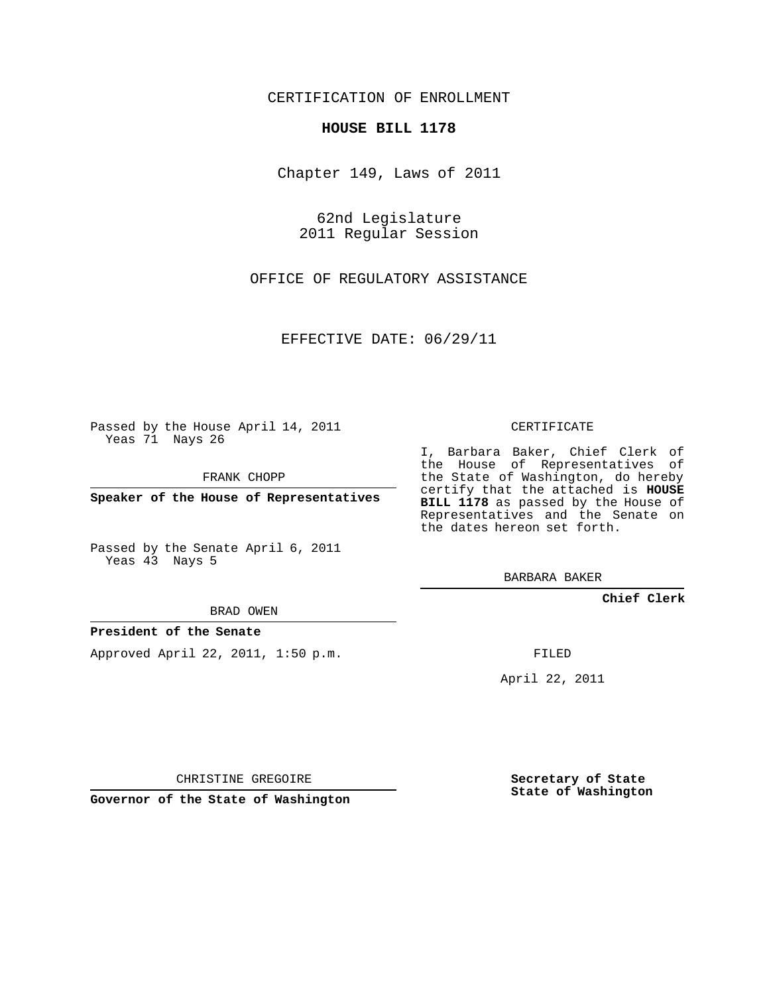CERTIFICATION OF ENROLLMENT

### **HOUSE BILL 1178**

Chapter 149, Laws of 2011

62nd Legislature 2011 Regular Session

OFFICE OF REGULATORY ASSISTANCE

EFFECTIVE DATE: 06/29/11

Passed by the House April 14, 2011 Yeas 71 Nays 26

FRANK CHOPP

**Speaker of the House of Representatives**

Passed by the Senate April 6, 2011 Yeas 43 Nays 5

BRAD OWEN

### **President of the Senate**

Approved April 22, 2011, 1:50 p.m.

CERTIFICATE

I, Barbara Baker, Chief Clerk of the House of Representatives of the State of Washington, do hereby certify that the attached is **HOUSE BILL 1178** as passed by the House of Representatives and the Senate on the dates hereon set forth.

BARBARA BAKER

**Chief Clerk**

FILED

April 22, 2011

CHRISTINE GREGOIRE

**Governor of the State of Washington**

**Secretary of State State of Washington**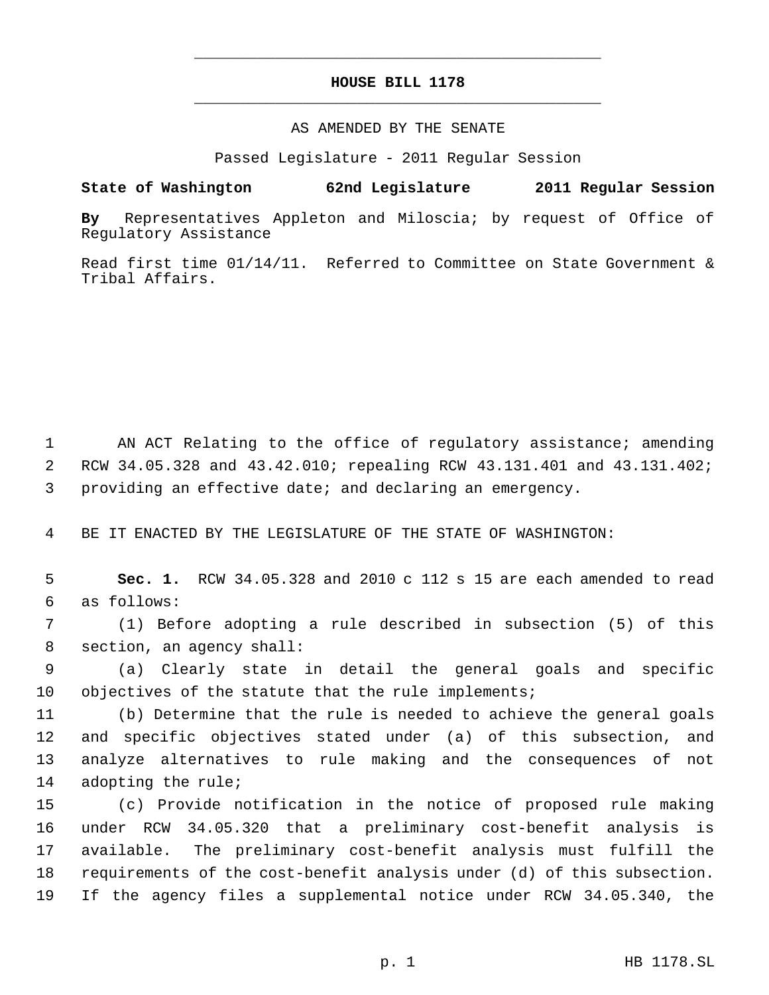# **HOUSE BILL 1178** \_\_\_\_\_\_\_\_\_\_\_\_\_\_\_\_\_\_\_\_\_\_\_\_\_\_\_\_\_\_\_\_\_\_\_\_\_\_\_\_\_\_\_\_\_

\_\_\_\_\_\_\_\_\_\_\_\_\_\_\_\_\_\_\_\_\_\_\_\_\_\_\_\_\_\_\_\_\_\_\_\_\_\_\_\_\_\_\_\_\_

### AS AMENDED BY THE SENATE

Passed Legislature - 2011 Regular Session

## **State of Washington 62nd Legislature 2011 Regular Session**

**By** Representatives Appleton and Miloscia; by request of Office of Regulatory Assistance

Read first time 01/14/11. Referred to Committee on State Government & Tribal Affairs.

1 AN ACT Relating to the office of regulatory assistance; amending 2 RCW 34.05.328 and 43.42.010; repealing RCW 43.131.401 and 43.131.402; 3 providing an effective date; and declaring an emergency.

4 BE IT ENACTED BY THE LEGISLATURE OF THE STATE OF WASHINGTON:

 5 **Sec. 1.** RCW 34.05.328 and 2010 c 112 s 15 are each amended to read 6 as follows:

 7 (1) Before adopting a rule described in subsection (5) of this 8 section, an agency shall:

 9 (a) Clearly state in detail the general goals and specific 10 objectives of the statute that the rule implements;

 (b) Determine that the rule is needed to achieve the general goals and specific objectives stated under (a) of this subsection, and analyze alternatives to rule making and the consequences of not adopting the rule;

 (c) Provide notification in the notice of proposed rule making under RCW 34.05.320 that a preliminary cost-benefit analysis is available. The preliminary cost-benefit analysis must fulfill the requirements of the cost-benefit analysis under (d) of this subsection. If the agency files a supplemental notice under RCW 34.05.340, the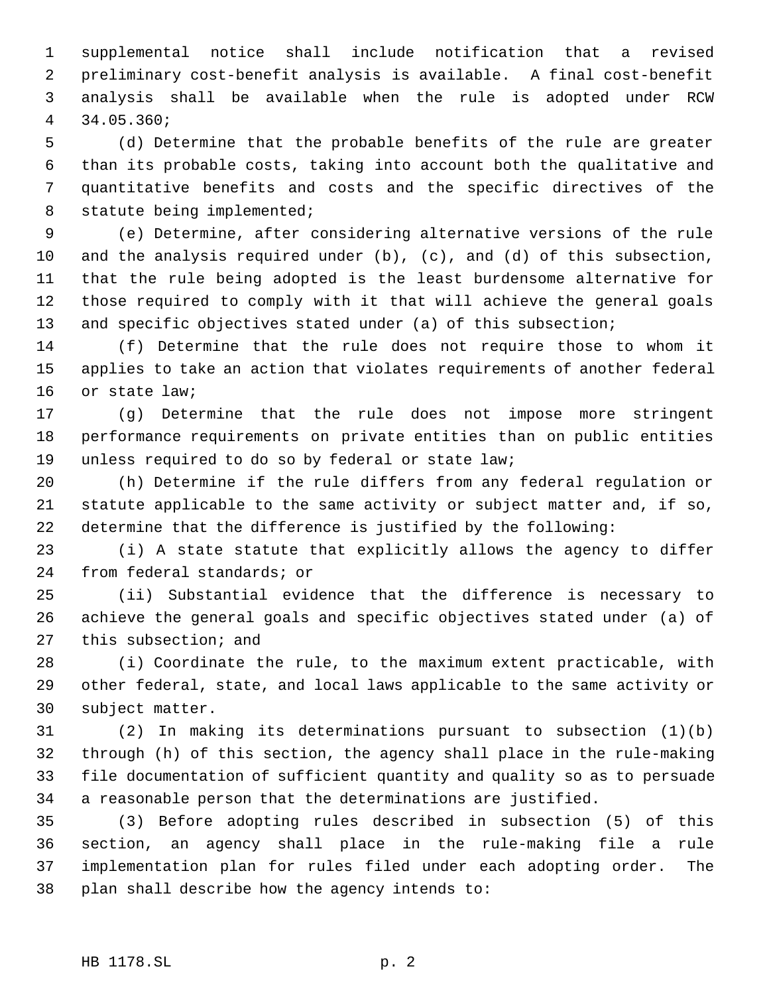supplemental notice shall include notification that a revised preliminary cost-benefit analysis is available. A final cost-benefit analysis shall be available when the rule is adopted under RCW 34.05.360;

 (d) Determine that the probable benefits of the rule are greater than its probable costs, taking into account both the qualitative and quantitative benefits and costs and the specific directives of the statute being implemented;

 (e) Determine, after considering alternative versions of the rule and the analysis required under (b), (c), and (d) of this subsection, that the rule being adopted is the least burdensome alternative for those required to comply with it that will achieve the general goals and specific objectives stated under (a) of this subsection;

 (f) Determine that the rule does not require those to whom it applies to take an action that violates requirements of another federal or state law;

 (g) Determine that the rule does not impose more stringent performance requirements on private entities than on public entities unless required to do so by federal or state law;

 (h) Determine if the rule differs from any federal regulation or statute applicable to the same activity or subject matter and, if so, determine that the difference is justified by the following:

 (i) A state statute that explicitly allows the agency to differ from federal standards; or

 (ii) Substantial evidence that the difference is necessary to achieve the general goals and specific objectives stated under (a) of this subsection; and

 (i) Coordinate the rule, to the maximum extent practicable, with other federal, state, and local laws applicable to the same activity or subject matter.

 (2) In making its determinations pursuant to subsection (1)(b) through (h) of this section, the agency shall place in the rule-making file documentation of sufficient quantity and quality so as to persuade a reasonable person that the determinations are justified.

 (3) Before adopting rules described in subsection (5) of this section, an agency shall place in the rule-making file a rule implementation plan for rules filed under each adopting order. The plan shall describe how the agency intends to: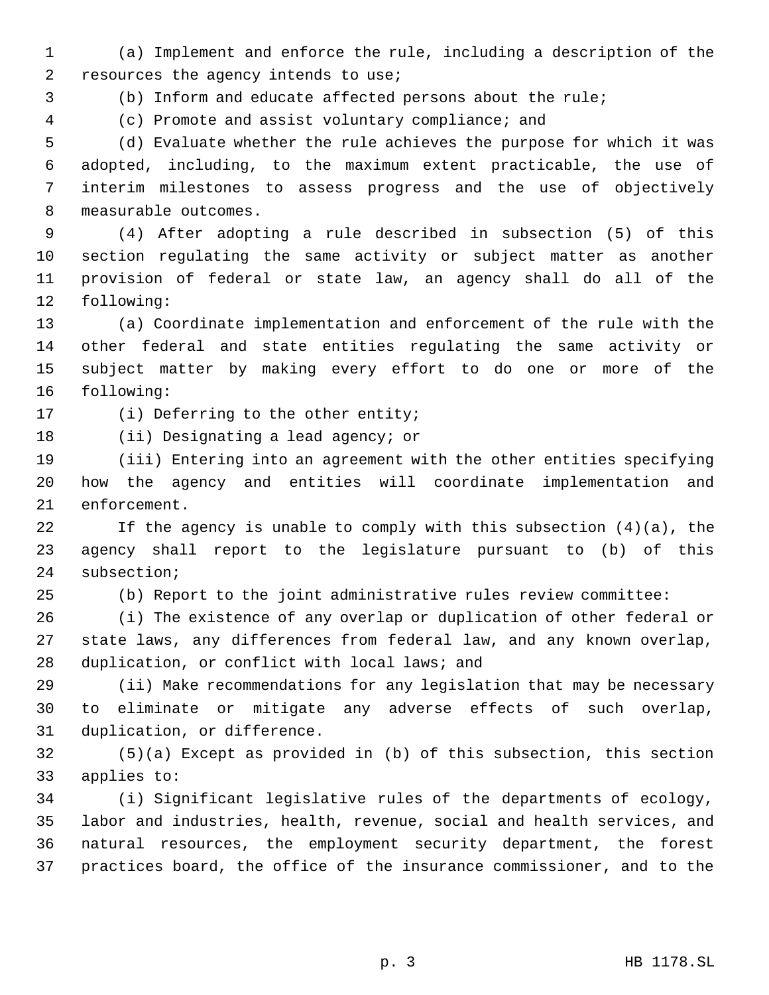(a) Implement and enforce the rule, including a description of the resources the agency intends to use;

(b) Inform and educate affected persons about the rule;

(c) Promote and assist voluntary compliance; and

 (d) Evaluate whether the rule achieves the purpose for which it was adopted, including, to the maximum extent practicable, the use of interim milestones to assess progress and the use of objectively measurable outcomes.

 (4) After adopting a rule described in subsection (5) of this section regulating the same activity or subject matter as another provision of federal or state law, an agency shall do all of the following:

 (a) Coordinate implementation and enforcement of the rule with the other federal and state entities regulating the same activity or subject matter by making every effort to do one or more of the following:

17 (i) Deferring to the other entity;

(ii) Designating a lead agency; or

 (iii) Entering into an agreement with the other entities specifying how the agency and entities will coordinate implementation and enforcement.

 If the agency is unable to comply with this subsection (4)(a), the agency shall report to the legislature pursuant to (b) of this subsection;

(b) Report to the joint administrative rules review committee:

 (i) The existence of any overlap or duplication of other federal or state laws, any differences from federal law, and any known overlap, duplication, or conflict with local laws; and

 (ii) Make recommendations for any legislation that may be necessary to eliminate or mitigate any adverse effects of such overlap, duplication, or difference.

 (5)(a) Except as provided in (b) of this subsection, this section applies to:

 (i) Significant legislative rules of the departments of ecology, labor and industries, health, revenue, social and health services, and natural resources, the employment security department, the forest practices board, the office of the insurance commissioner, and to the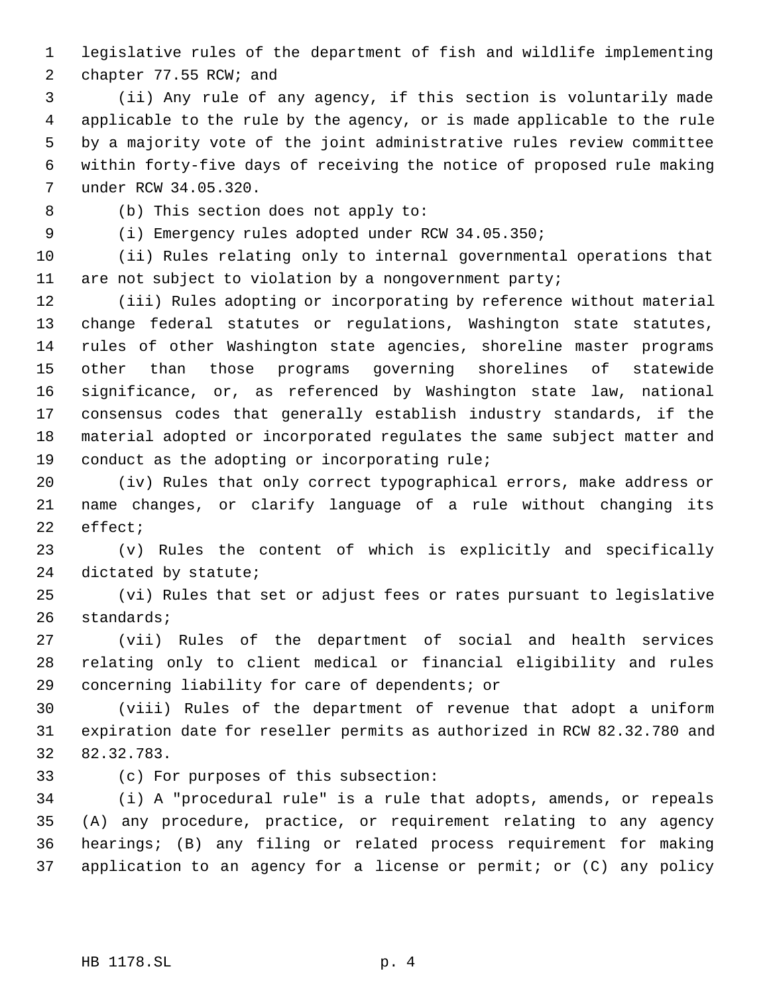legislative rules of the department of fish and wildlife implementing

chapter 77.55 RCW; and

 (ii) Any rule of any agency, if this section is voluntarily made applicable to the rule by the agency, or is made applicable to the rule by a majority vote of the joint administrative rules review committee within forty-five days of receiving the notice of proposed rule making under RCW 34.05.320.

(b) This section does not apply to:

(i) Emergency rules adopted under RCW 34.05.350;

 (ii) Rules relating only to internal governmental operations that are not subject to violation by a nongovernment party;

 (iii) Rules adopting or incorporating by reference without material change federal statutes or regulations, Washington state statutes, rules of other Washington state agencies, shoreline master programs other than those programs governing shorelines of statewide significance, or, as referenced by Washington state law, national consensus codes that generally establish industry standards, if the material adopted or incorporated regulates the same subject matter and conduct as the adopting or incorporating rule;

 (iv) Rules that only correct typographical errors, make address or name changes, or clarify language of a rule without changing its effect;

 (v) Rules the content of which is explicitly and specifically dictated by statute;

 (vi) Rules that set or adjust fees or rates pursuant to legislative standards;

 (vii) Rules of the department of social and health services relating only to client medical or financial eligibility and rules concerning liability for care of dependents; or

 (viii) Rules of the department of revenue that adopt a uniform expiration date for reseller permits as authorized in RCW 82.32.780 and 82.32.783.

(c) For purposes of this subsection:

 (i) A "procedural rule" is a rule that adopts, amends, or repeals (A) any procedure, practice, or requirement relating to any agency hearings; (B) any filing or related process requirement for making application to an agency for a license or permit; or (C) any policy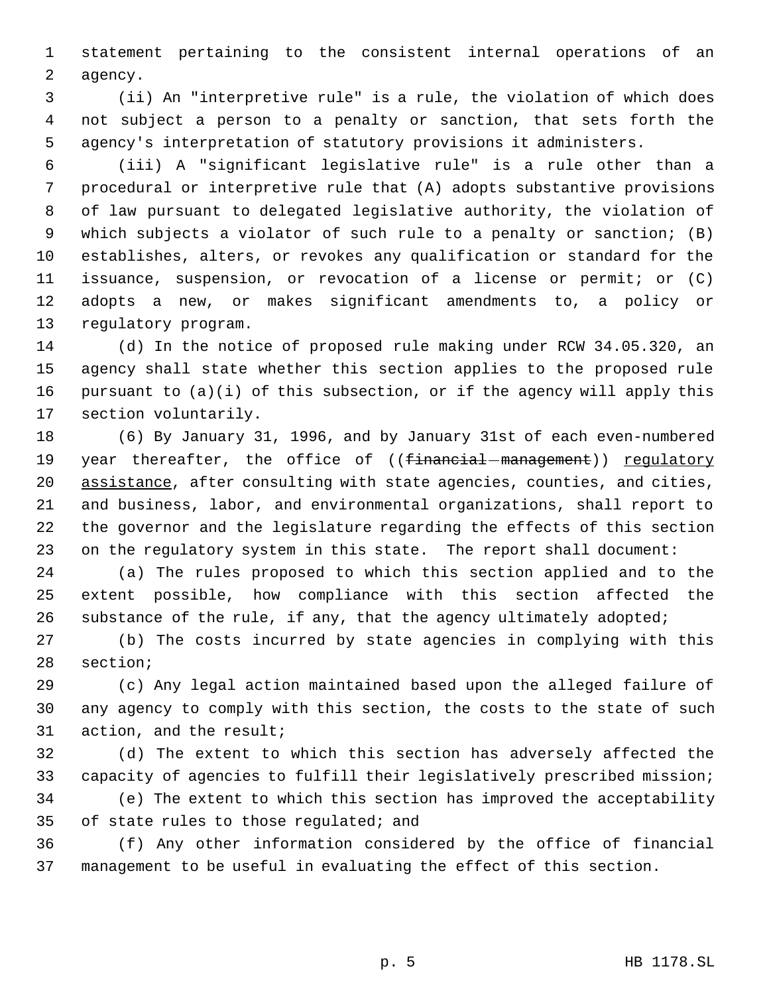statement pertaining to the consistent internal operations of an agency.

 (ii) An "interpretive rule" is a rule, the violation of which does not subject a person to a penalty or sanction, that sets forth the agency's interpretation of statutory provisions it administers.

 (iii) A "significant legislative rule" is a rule other than a procedural or interpretive rule that (A) adopts substantive provisions of law pursuant to delegated legislative authority, the violation of which subjects a violator of such rule to a penalty or sanction; (B) establishes, alters, or revokes any qualification or standard for the issuance, suspension, or revocation of a license or permit; or (C) adopts a new, or makes significant amendments to, a policy or regulatory program.

 (d) In the notice of proposed rule making under RCW 34.05.320, an agency shall state whether this section applies to the proposed rule pursuant to (a)(i) of this subsection, or if the agency will apply this section voluntarily.

 (6) By January 31, 1996, and by January 31st of each even-numbered 19 year thereafter, the office of ((financial-management)) regulatory 20 assistance, after consulting with state agencies, counties, and cities, and business, labor, and environmental organizations, shall report to the governor and the legislature regarding the effects of this section on the regulatory system in this state. The report shall document:

 (a) The rules proposed to which this section applied and to the extent possible, how compliance with this section affected the substance of the rule, if any, that the agency ultimately adopted;

 (b) The costs incurred by state agencies in complying with this section;

 (c) Any legal action maintained based upon the alleged failure of any agency to comply with this section, the costs to the state of such action, and the result;

 (d) The extent to which this section has adversely affected the capacity of agencies to fulfill their legislatively prescribed mission; (e) The extent to which this section has improved the acceptability of state rules to those regulated; and

 (f) Any other information considered by the office of financial management to be useful in evaluating the effect of this section.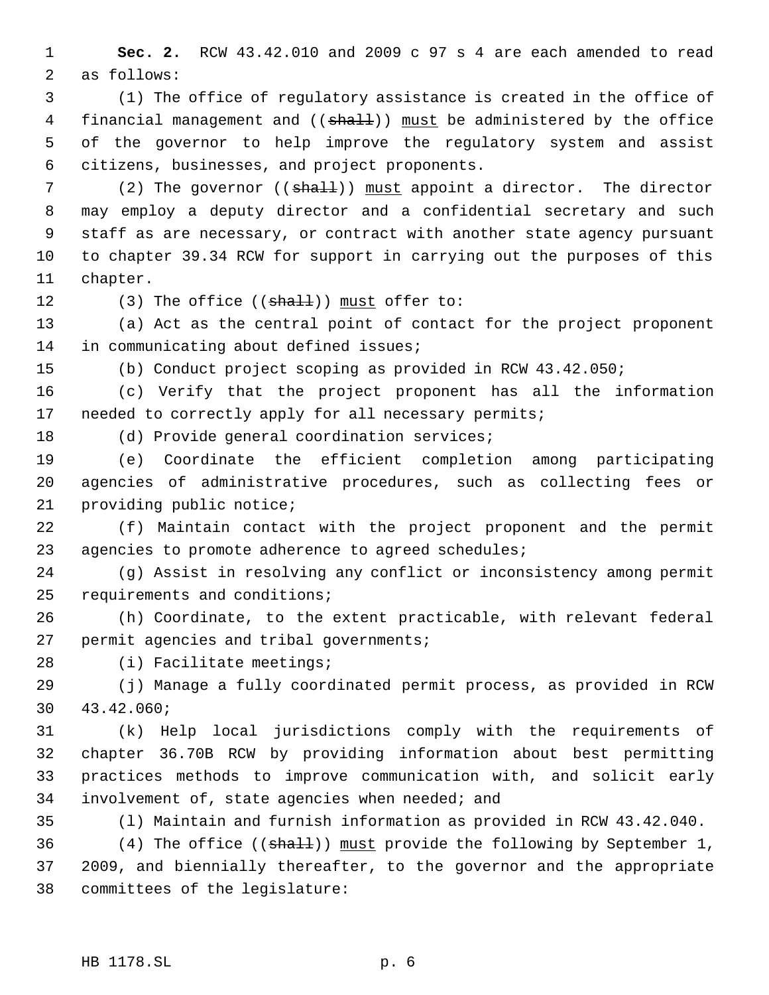**Sec. 2.** RCW 43.42.010 and 2009 c 97 s 4 are each amended to read as follows:

 (1) The office of regulatory assistance is created in the office of 4 financial management and ((shall)) must be administered by the office of the governor to help improve the regulatory system and assist citizens, businesses, and project proponents.

7 (2) The governor ((shall)) must appoint a director. The director may employ a deputy director and a confidential secretary and such staff as are necessary, or contract with another state agency pursuant to chapter 39.34 RCW for support in carrying out the purposes of this chapter.

12  $(3)$  The office  $((shall))$  must offer to:

 (a) Act as the central point of contact for the project proponent in communicating about defined issues;

(b) Conduct project scoping as provided in RCW 43.42.050;

 (c) Verify that the project proponent has all the information 17 needed to correctly apply for all necessary permits;

(d) Provide general coordination services;

 (e) Coordinate the efficient completion among participating agencies of administrative procedures, such as collecting fees or providing public notice;

 (f) Maintain contact with the project proponent and the permit agencies to promote adherence to agreed schedules;

 (g) Assist in resolving any conflict or inconsistency among permit requirements and conditions;

 (h) Coordinate, to the extent practicable, with relevant federal permit agencies and tribal governments;

(i) Facilitate meetings;

 (j) Manage a fully coordinated permit process, as provided in RCW 43.42.060;

 (k) Help local jurisdictions comply with the requirements of chapter 36.70B RCW by providing information about best permitting practices methods to improve communication with, and solicit early involvement of, state agencies when needed; and

(l) Maintain and furnish information as provided in RCW 43.42.040.

36 (4) The office ((shall)) must provide the following by September 1, 2009, and biennially thereafter, to the governor and the appropriate committees of the legislature: